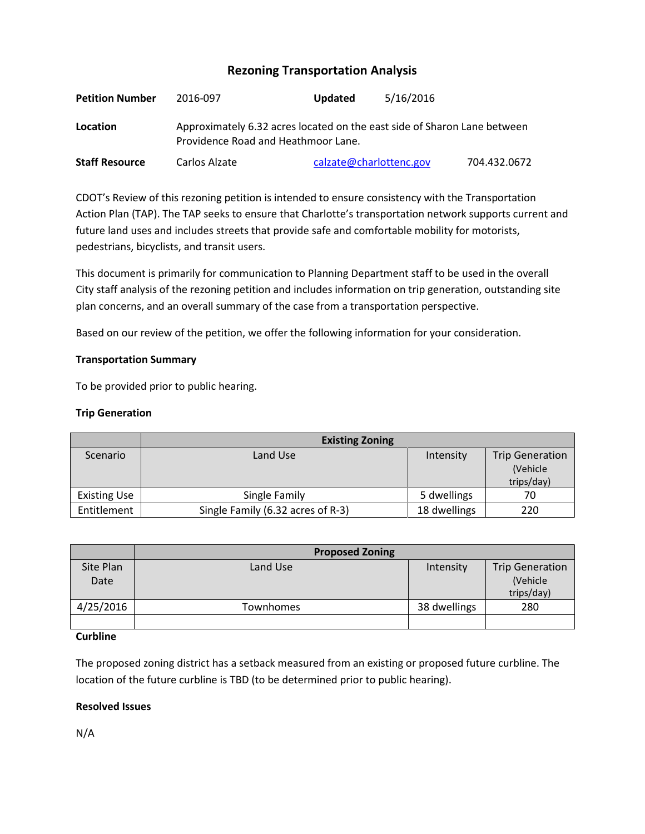# **Rezoning Transportation Analysis**

| <b>Petition Number</b> | 2016-097                                                                                                        | <b>Updated</b>          | 5/16/2016 |              |  |
|------------------------|-----------------------------------------------------------------------------------------------------------------|-------------------------|-----------|--------------|--|
| Location               | Approximately 6.32 acres located on the east side of Sharon Lane between<br>Providence Road and Heathmoor Lane. |                         |           |              |  |
| <b>Staff Resource</b>  | Carlos Alzate                                                                                                   | calzate@charlottenc.gov |           | 704.432.0672 |  |

CDOT's Review of this rezoning petition is intended to ensure consistency with the Transportation Action Plan (TAP). The TAP seeks to ensure that Charlotte's transportation network supports current and future land uses and includes streets that provide safe and comfortable mobility for motorists, pedestrians, bicyclists, and transit users.

This document is primarily for communication to Planning Department staff to be used in the overall City staff analysis of the rezoning petition and includes information on trip generation, outstanding site plan concerns, and an overall summary of the case from a transportation perspective.

Based on our review of the petition, we offer the following information for your consideration.

# **Transportation Summary**

To be provided prior to public hearing.

## **Trip Generation**

|                     | <b>Existing Zoning</b>            |              |                        |
|---------------------|-----------------------------------|--------------|------------------------|
| Scenario            | Land Use                          | Intensity    | <b>Trip Generation</b> |
|                     |                                   |              | (Vehicle               |
|                     |                                   |              | trips/day)             |
| <b>Existing Use</b> | Single Family                     | 5 dwellings  | 70                     |
| Entitlement         | Single Family (6.32 acres of R-3) | 18 dwellings | 220                    |

|           | <b>Proposed Zoning</b> |              |                        |
|-----------|------------------------|--------------|------------------------|
| Site Plan | Land Use               | Intensity    | <b>Trip Generation</b> |
| Date      |                        |              | (Vehicle               |
|           |                        |              | trips/day)             |
| 4/25/2016 | Townhomes              | 38 dwellings | 280                    |
|           |                        |              |                        |

#### **Curbline**

The proposed zoning district has a setback measured from an existing or proposed future curbline. The location of the future curbline is TBD (to be determined prior to public hearing).

## **Resolved Issues**

N/A